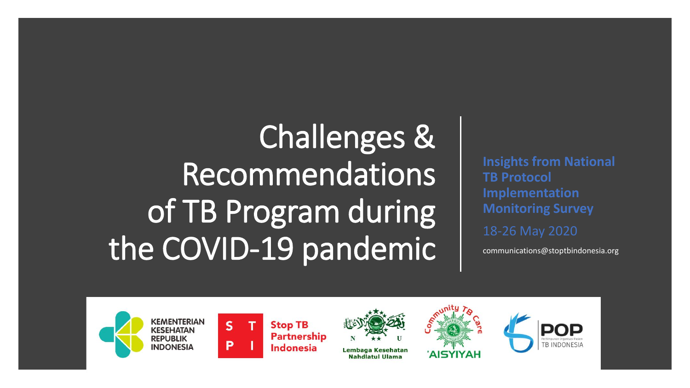## Challenges & Recommendations of TB Program during the COVID-19 pandemic

**Insights from National TB Protocol Implementation Monitoring Survey**

18-26 May 2020

communications@stoptbindonesia.org





 $\overline{\mathbf{S}}$ 

**Stop TB Partnership Indonesia** 



Lembaga Kesehatan **Nahdlatul Ulama** 



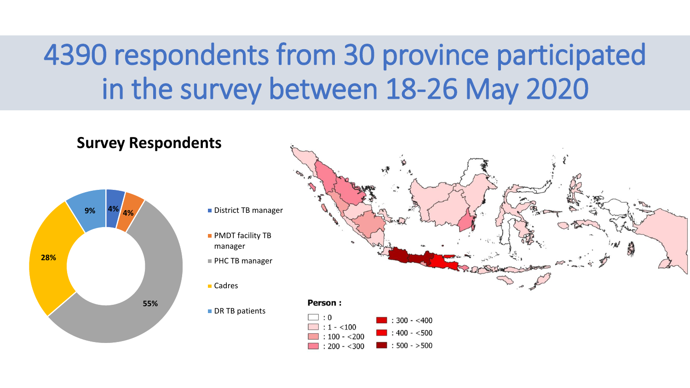## 4390 respondents from 30 province participated in the survey between 18-26 May 2020

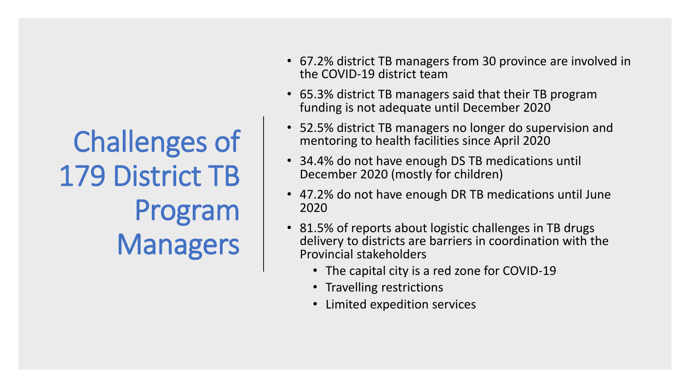Challenges of 179 District TB Program Managers

- 67.2% district TB managers from 30 province are involved in the COVID-19 district team
- 65.3% district TB managers said that their TB program funding is not adequate until December 2020
- 52.5% district TB managers no longer do supervision and mentoring to health facilities since April 2020
- 34.4% do not have enough DS TB medications until December 2020 (mostly for children)
- 47.2% do not have enough DR TB medications until June 2020
- 81.5% of reports about logistic challenges in TB drugs delivery to districts are barriers in coordination with the Provincial stakeholders
	- The capital city is a red zone for COVID-19
	- Travelling restrictions
	- Limited expedition services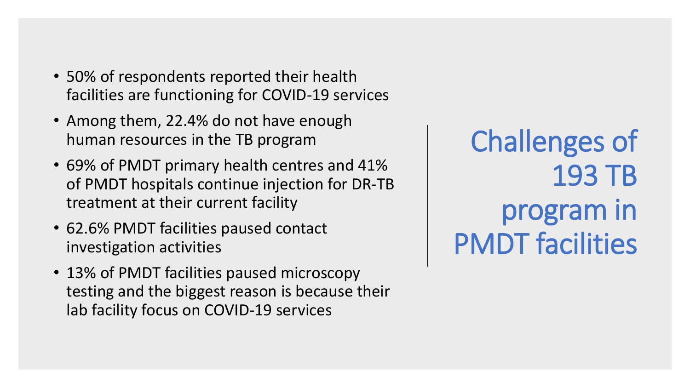- 50% of respondents reported their health facilities are functioning for COVID-19 services
- Among them, 22.4% do not have enough human resources in the TB program
- 69% of PMDT primary health centres and 41% of PMDT hospitals continue injection for DR-TB treatment at their current facility
- 62.6% PMDT facilities paused contact investigation activities
- 13% of PMDT facilities paused microscopy testing and the biggest reason is because their lab facility focus on COVID-19 services

Challenges of 193 TB program in PMDT facilities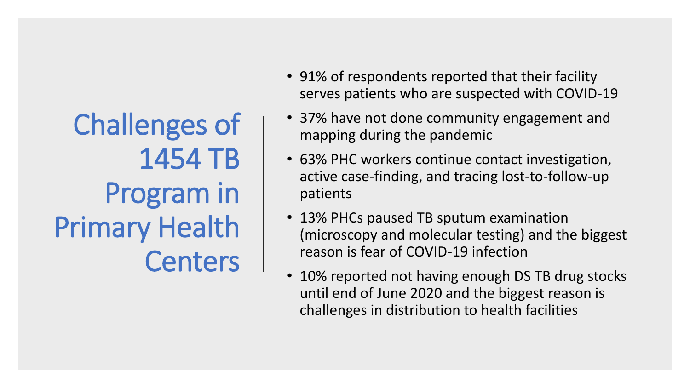Challenges of 1454 TB Program in Primary Health **Centers** 

- 91% of respondents reported that their facility serves patients who are suspected with COVID-19
- 37% have not done community engagement and mapping during the pandemic
- 63% PHC workers continue contact investigation, active case-finding, and tracing lost-to-follow-up patients
- 13% PHCs paused TB sputum examination (microscopy and molecular testing) and the biggest reason is fear of COVID-19 infection
- 10% reported not having enough DS TB drug stocks until end of June 2020 and the biggest reason is challenges in distribution to health facilities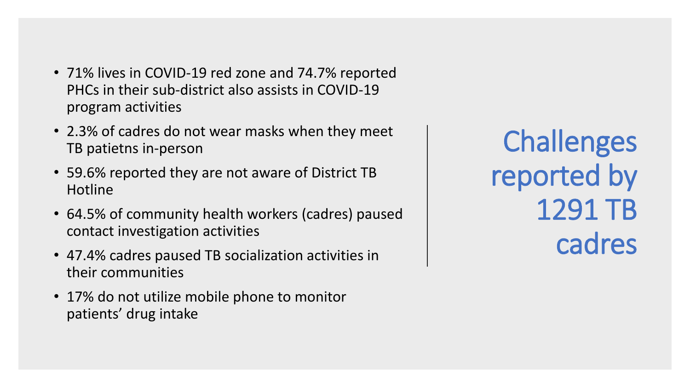- 71% lives in COVID-19 red zone and 74.7% reported PHCs in their sub-district also assists in COVID-19 program activities
- 2.3% of cadres do not wear masks when they meet TB patietns in-person
- 59.6% reported they are not aware of District TB Hotline
- 64.5% of community health workers (cadres) paused contact investigation activities
- 47.4% cadres paused TB socialization activities in their communities
- 17% do not utilize mobile phone to monitor patients' drug intake

**Challenges** reported by 1291 TB cadres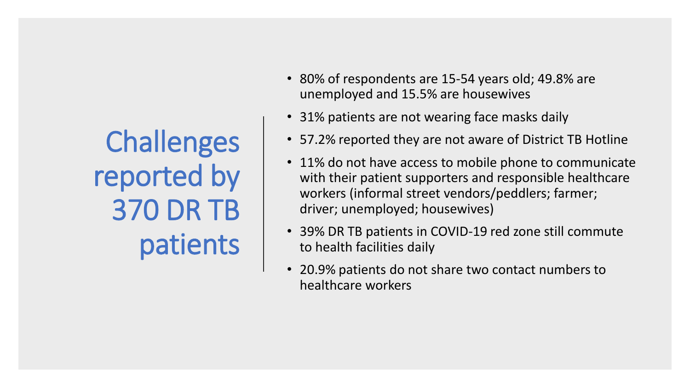**Challenges** reported by 370 DR TB patients

- 80% of respondents are 15-54 years old; 49.8% are unemployed and 15.5% are housewives
- 31% patients are not wearing face masks daily
- 57.2% reported they are not aware of District TB Hotline
- 11% do not have access to mobile phone to communicate with their patient supporters and responsible healthcare workers (informal street vendors/peddlers; farmer; driver; unemployed; housewives)
- 39% DR TB patients in COVID-19 red zone still commute to health facilities daily
- 20.9% patients do not share two contact numbers to healthcare workers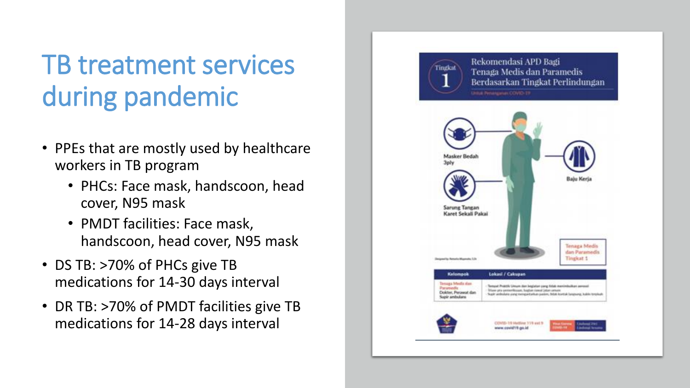## TB treatment services during pandemic

- PPEs that are mostly used by healthcare workers in TB program
	- PHCs: Face mask, handscoon, head cover, N95 mask
	- PMDT facilities: Face mask, handscoon, head cover, N95 mask
- DS TB: >70% of PHCs give TB medications for 14-30 days interval
- DR TB: >70% of PMDT facilities give TB medications for 14-28 days interval

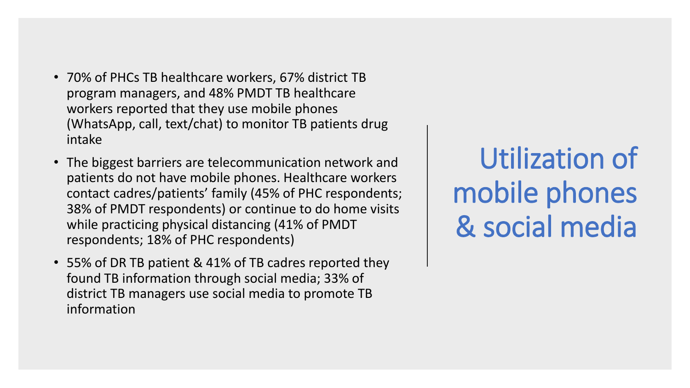- 70% of PHCs TB healthcare workers, 67% district TB program managers, and 48% PMDT TB healthcare workers reported that they use mobile phones (WhatsApp, call, text/chat) to monitor TB patients drug intake
- The biggest barriers are telecommunication network and patients do not have mobile phones. Healthcare workers contact cadres/patients' family (45% of PHC respondents; 38% of PMDT respondents) or continue to do home visits while practicing physical distancing (41% of PMDT respondents; 18% of PHC respondents)
- 55% of DR TB patient & 41% of TB cadres reported they found TB information through social media; 33% of district TB managers use social media to promote TB information

Utilization of mobile phones & social media